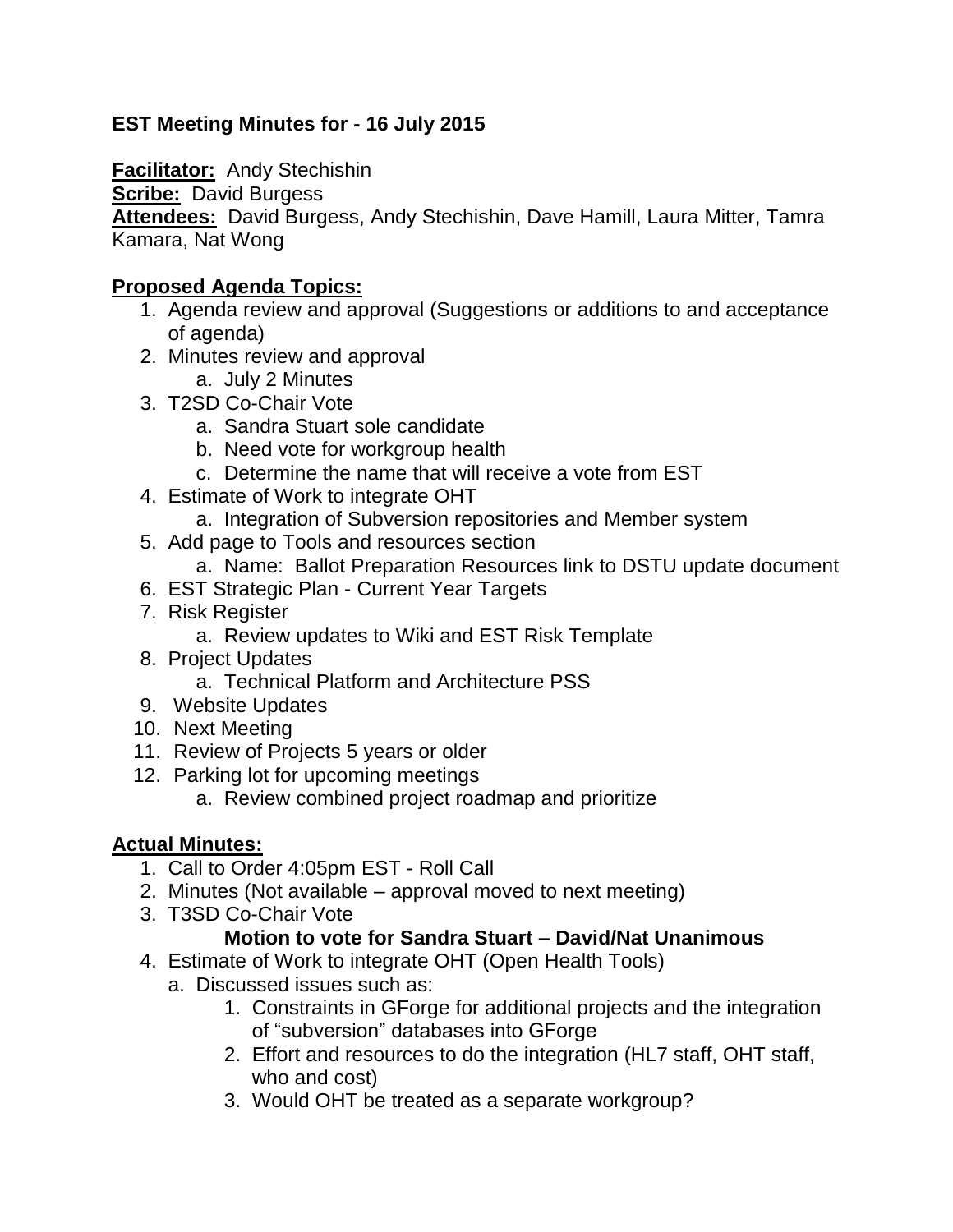# **EST Meeting Minutes for - 16 July 2015**

**Facilitator:** Andy Stechishin

**Scribe: David Burgess** 

**Attendees:** David Burgess, Andy Stechishin, Dave Hamill, Laura Mitter, Tamra Kamara, Nat Wong

#### **Proposed Agenda Topics:**

- 1. Agenda review and approval (Suggestions or additions to and acceptance of agenda)
- 2. Minutes review and approval
	- a. July 2 Minutes
- 3. T2SD Co-Chair Vote
	- a. Sandra Stuart sole candidate
	- b. Need vote for workgroup health
	- c. Determine the name that will receive a vote from EST
- 4. Estimate of Work to integrate OHT
	- a. Integration of Subversion repositories and Member system
- 5. Add page to Tools and resources section
	- a. Name: Ballot Preparation Resources link to DSTU update document
- 6. EST Strategic Plan Current Year Targets
- 7. Risk Register
	- a. Review updates to Wiki and EST Risk Template
- 8. Project Updates
	- a. Technical Platform and Architecture PSS
- 9. Website Updates
- 10. Next Meeting
- 11. Review of Projects 5 years or older
- 12. Parking lot for upcoming meetings
	- a. Review combined project roadmap and prioritize

# **Actual Minutes:**

- 1. Call to Order 4:05pm EST Roll Call
- 2. Minutes (Not available approval moved to next meeting)
- 3. T3SD Co-Chair Vote

# **Motion to vote for Sandra Stuart – David/Nat Unanimous**

- 4. Estimate of Work to integrate OHT (Open Health Tools)
	- a. Discussed issues such as:
		- 1. Constraints in GForge for additional projects and the integration of "subversion" databases into GForge
		- 2. Effort and resources to do the integration (HL7 staff, OHT staff, who and cost)
		- 3. Would OHT be treated as a separate workgroup?